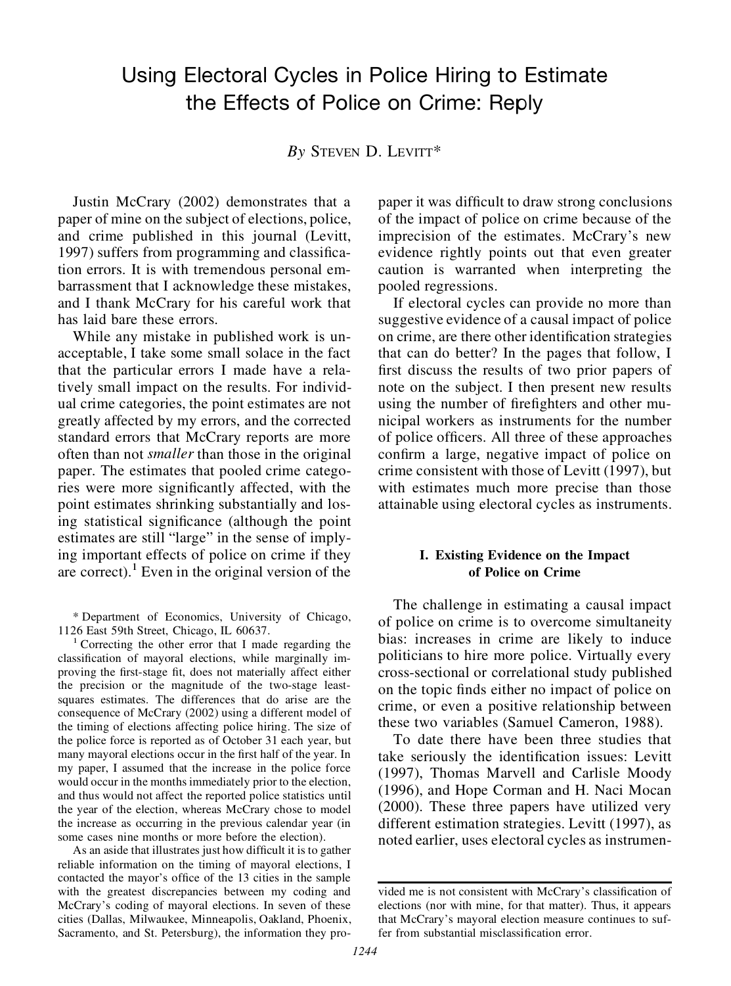# Using Electoral Cycles in Police Hiring to Estimate the Effects of Police on Crime: Reply

*By* STEVEN D. LEVITT\*

Justin McCrary (2002) demonstrates that a paper of mine on the subject of elections, police, and crime published in this journal (Levitt, 1997) suffers from programming and classification errors. It is with tremendous personal embarrassment that I acknowledge these mistakes, and I thank McCrary for his careful work that has laid bare these errors.

While any mistake in published work is unacceptable, I take some small solace in the fact that the particular errors I made have a relatively small impact on the results. For individual crime categories, the point estimates are not greatly affected by my errors, and the corrected standard errors that McCrary reports are more often than not *smaller* than those in the original paper. The estimates that pooled crime categories were more significantly affected, with the point estimates shrinking substantially and losing statistical significance (although the point estimates are still "large" in the sense of implying important effects of police on crime if they are correct). $<sup>1</sup>$  Even in the original version of the</sup>

\* Department of Economics, University of Chicago, 1126 East 59th Street, Chicago, IL 60637.<br><sup>1</sup> Correcting the other error that I made regarding the

classification of mayoral elections, while marginally improving the first-stage fit, does not materially affect either the precision or the magnitude of the two-stage leastsquares estimates. The differences that do arise are the consequence of McCrary (2002) using a different model of the timing of elections affecting police hiring. The size of the police force is reported as of October 31 each year, but many mayoral elections occur in the first half of the year. In my paper, I assumed that the increase in the police force would occur in the months immediately prior to the election, and thus would not affect the reported police statistics until the year of the election, whereas McCrary chose to model the increase as occurring in the previous calendar year (in some cases nine months or more before the election).

As an aside that illustrates just how difficult it is to gather reliable information on the timing of mayoral elections, I contacted the mayor's office of the 13 cities in the sample with the greatest discrepancies between my coding and McCrary's coding of mayoral elections. In seven of these cities (Dallas, Milwaukee, Minneapolis, Oakland, Phoenix, Sacramento, and St. Petersburg), the information they propaper it was difficult to draw strong conclusions of the impact of police on crime because of the imprecision of the estimates. McCrary's new evidence rightly points out that even greater caution is warranted when interpreting the pooled regressions.

If electoral cycles can provide no more than suggestive evidence of a causal impact of police on crime, are there other identification strategies that can do better? In the pages that follow, I first discuss the results of two prior papers of note on the subject. I then present new results using the number of firefighters and other municipal workers as instruments for the number of police officers. All three of these approaches confirm a large, negative impact of police on crime consistent with those of Levitt (1997), but with estimates much more precise than those attainable using electoral cycles as instruments.

## **I. Existing Evidence on the Impact of Police on Crime**

The challenge in estimating a causal impact of police on crime is to overcome simultaneity bias: increases in crime are likely to induce politicians to hire more police. Virtually every cross-sectional or correlational study published on the topic finds either no impact of police on crime, or even a positive relationship between these two variables (Samuel Cameron, 1988).

To date there have been three studies that take seriously the identification issues: Levitt (1997), Thomas Marvell and Carlisle Moody (1996), and Hope Corman and H. Naci Mocan (2000). These three papers have utilized very different estimation strategies. Levitt (1997), as noted earlier, uses electoral cycles as instrumen-

vided me is not consistent with McCrary's classification of elections (nor with mine, for that matter). Thus, it appears that McCrary's mayoral election measure continues to suffer from substantial misclassification error.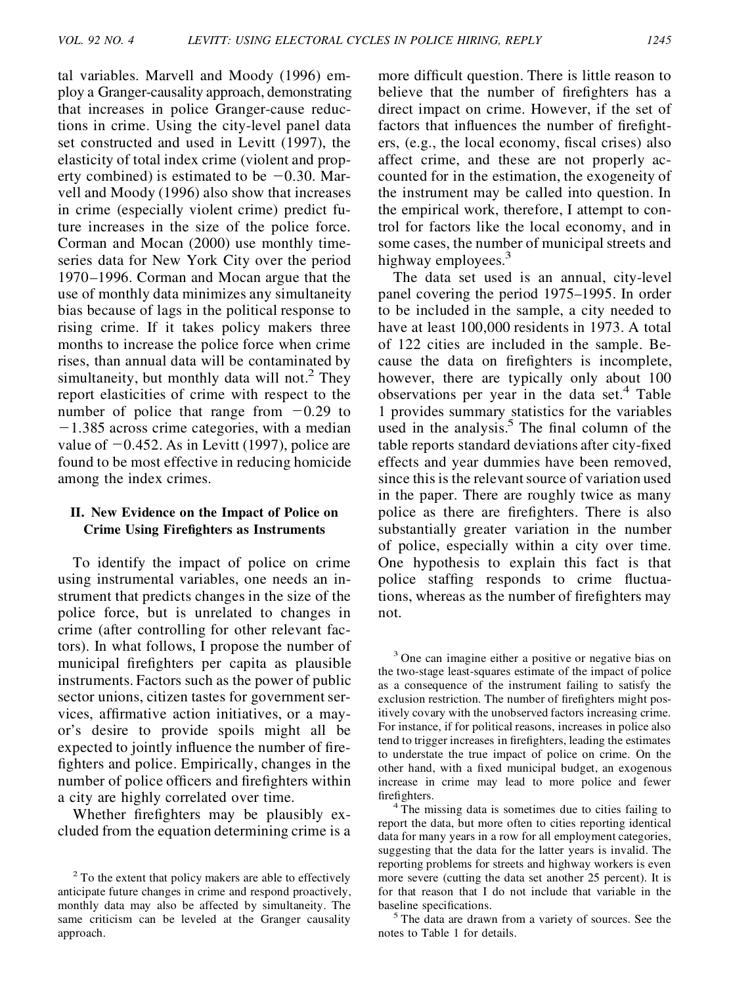tal variables. Marvell and Moody (1996) employ a Granger-causality approach, demonstrating that increases in police Granger-cause reductions in crime. Using the city-level panel data set constructed and used in Levitt (1997), the elasticity of total index crime (violent and property combined) is estimated to be  $-0.30$ . Marvell and Moody (1996) also show that increases in crime (especially violent crime) predict future increases in the size of the police force. Corman and Mocan (2000) use monthly timeseries data for New York City over the period 1970–1996. Corman and Mocan argue that the use of monthly data minimizes any simultaneity bias because of lags in the political response to rising crime. If it takes policy makers three months to increase the police force when crime rises, than annual data will be contaminated by simultaneity, but monthly data will not.<sup>2</sup> They report elasticities of crime with respect to the number of police that range from  $-0.29$  to  $-1.385$  across crime categories, with a median value of  $-0.452$ . As in Levitt (1997), police are found to be most effective in reducing homicide among the index crimes.

#### **II. New Evidence on the Impact of Police on Crime Using Fire ghters as Instruments**

To identify the impact of police on crime using instrumental variables, one needs an instrument that predicts changes in the size of the police force, but is unrelated to changes in crime (after controlling for other relevant factors). In what follows, I propose the number of municipal fire fighters per capita as plausible instruments. Factors such as the power of public sector unions, citizen tastes for government services, affirmative action initiatives, or a mayor's desire to provide spoils might all be expected to jointly influence the number of firefighters and police. Empirically, changes in the number of police officers and fire fighters within a city are highly correlated over time.

Whether fire fighters may be plausibly excluded from the equation determining crime is a more difficult question. There is little reason to believe that the number of fire fighters has a direct impact on crime. However, if the set of factors that influences the number of firefight $ers, (e.g., the local economy, fiscal crises) also$ affect crime, and these are not properly accounted for in the estimation, the exogeneity of the instrument may be called into question. In the empirical work, therefore, I attempt to control for factors like the local economy, and in some cases, the number of municipal streets and highway employees.<sup>3</sup>

The data set used is an annual, city-level panel covering the period 1975–1995. In order to be included in the sample, a city needed to have at least 100,000 residents in 1973. A total of 122 cities are included in the sample. Because the data on firefighters is incomplete, however, there are typically only about 100 observations per year in the data set. $4$  Table 1 provides summary statistics for the variables used in the analysis.<sup>5</sup> The final column of the table reports standard deviations after city-fixed effects and year dummies have been removed, since this is the relevant source of variation used in the paper. There are roughly twice as many police as there are firefighters. There is also substantially greater variation in the number of police, especially within a city over time. One hypothesis to explain this fact is that police staffing responds to crime fluctuations, whereas as the number of fire fighters may not.

<sup>3</sup> One can imagine either a positive or negative bias on the two-stage least-squares estimate of the impact of police as a consequence of the instrument failing to satisfy the exclusion restriction. The number of fire fighters might positively covary with the unobserved factors increasing crime. For instance, if for political reasons, increases in police also tend to trigger increases in firefighters, leading the estimates to understate the true impact of police on crime. On the other hand, with a fixed municipal budget, an exogenous increase in crime may lead to more police and fewer fire fighters.  $4^4$  The missing data is sometimes due to cities failing to

report the data, but more often to cities reporting identical data for many years in a row for all employment categories, suggesting that the data for the latter years is invalid. The reporting problems for streets and highway workers is even more severe (cutting the data set another 25 percent). It is for that reason that I do not include that variable in the baseline specifications.<br><sup>5</sup> The data are drawn from a variety of sources. See the

notes to Table 1 for details.

<sup>&</sup>lt;sup>2</sup> To the extent that policy makers are able to effectively anticipate future changes in crime and respond proactively, monthly data may also be affected by simultaneity. The same criticism can be leveled at the Granger causality approach.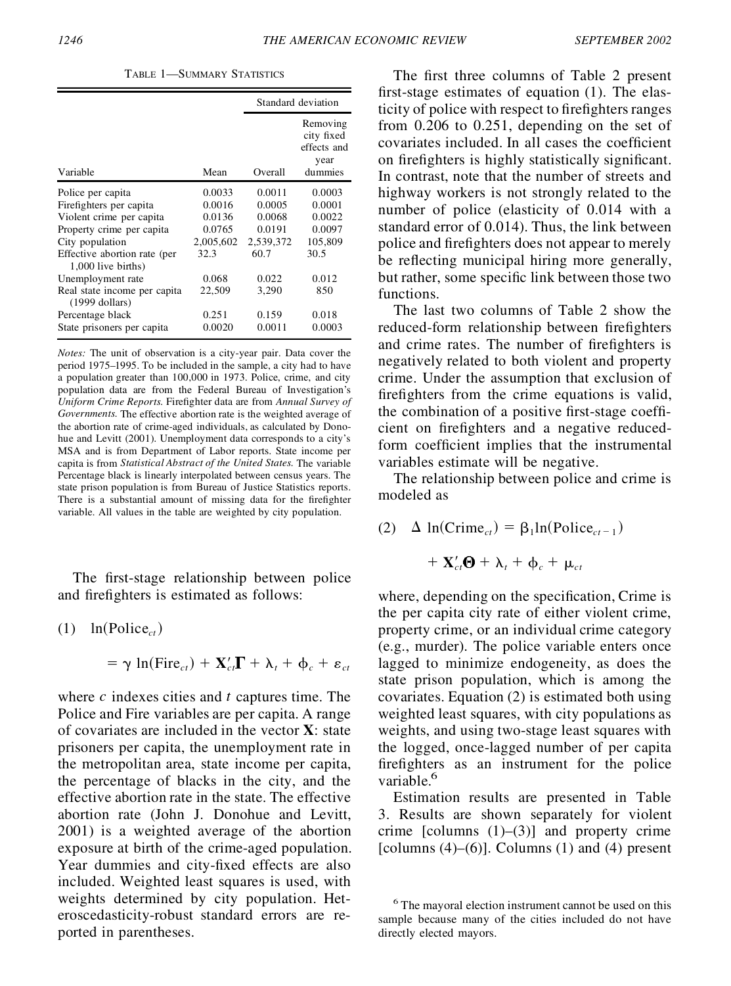TABLE 1—SUMMARY STATISTICS

|                                                    |           | Standard deviation |                                                          |  |
|----------------------------------------------------|-----------|--------------------|----------------------------------------------------------|--|
| Variable                                           | Mean      | Overall            | Removing<br>city fixed<br>effects and<br>year<br>dummies |  |
| Police per capita                                  | 0.0033    | 0.0011             | 0.0003                                                   |  |
| Firefighters per capita                            | 0.0016    | 0.0005             | 0.0001                                                   |  |
| Violent crime per capita                           | 0.0136    | 0.0068             | 0.0022                                                   |  |
| Property crime per capita                          | 0.0765    | 0.0191             | 0.0097                                                   |  |
| City population                                    | 2,005,602 | 2.539.372          | 105,809                                                  |  |
| Effective abortion rate (per<br>1,000 live births) | 32.3      | 60.7               | 30.5                                                     |  |
| Unemployment rate                                  | 0.068     | 0.022              | 0.012                                                    |  |
| Real state income per capita<br>$(1999$ dollars)   | 22,509    | 3,290              | 850                                                      |  |
| Percentage black                                   | 0.251     | 0.159              | 0.018                                                    |  |
| State prisoners per capita                         | 0.0020    | 0.0011             | 0.0003                                                   |  |

*Notes:* The unit of observation is a city-year pair. Data cover the period 1975–1995. To be included in the sample, a city had to have a population greater than 100,000 in 1973. Police, crime, and city population data are from the Federal Bureau of Investigation's *Uniform Crime Reports.* Firefighter data are from *Annual Survey of Governments.* The effective abortion rate is the weighted average of the abortion rate of crime-aged individuals, as calculated by Donohue and Levitt (2001). Unemployment data corresponds to a city's MSA and is from Department of Labor reports. State income per capita is from *Statistical Abstract of the United States.* The variable Percentage black is linearly interpolated between census years. The state prison population is from Bureau of Justice Statistics reports. There is a substantial amount of missing data for the firefighter variable. All values in the table are weighted by city population.

The first-stage relationship between police and firefighters is estimated as follows:

$$
(1) \quad \ln(\text{Police}_{ct})
$$

$$
= \gamma \ln(\text{Fire}_{ct}) + \mathbf{X}_{ct}' \mathbf{\Gamma} + \lambda_t + \phi_c + \varepsilon_{ct}
$$

where *c* indexes cities and *t* captures time. The Police and Fire variables are per capita. A range of covariates are included in the vector **X**: state prisoners per capita, the unemployment rate in the metropolitan area, state income per capita, the percentage of blacks in the city, and the effective abortion rate in the state. The effective abortion rate (John J. Donohue and Levitt, 2001) is a weighted average of the abortion exposure at birth of the crime-aged population. Year dummies and city-fixed effects are also included. Weighted least squares is used, with weights determined by city population. Heteroscedasticity-robust standard errors are reported in parentheses.

The first three columns of Table 2 present first-stage estimates of equation  $(1)$ . The elasticity of police with respect to firefighters ranges from 0.206 to 0.251, depending on the set of covariates included. In all cases the coefficient on fire fighters is highly statistically significant. In contrast, note that the number of streets and highway workers is not strongly related to the number of police (elasticity of 0.014 with a standard error of 0.014). Thus, the link between police and fire fighters does not appear to merely be reflecting municipal hiring more generally, but rather, some specific link between those two functions.

The last two columns of Table 2 show the reduced-form relationship between firefighters and crime rates. The number of firefighters is negatively related to both violent and property crime. Under the assumption that exclusion of fire fighters from the crime equations is valid, the combination of a positive first-stage coefficient on firefighters and a negative reducedform coefficient implies that the instrumental variables estimate will be negative.

The relationship between police and crime is modeled as

(2)  $\Delta \ln(C$ rime<sub>*ct*</sub> $) = \beta_1 \ln(Police_{ct-1})$  $+ \mathbf{X}'_{cf} \mathbf{\Theta} + \lambda_t + \mathbf{\varphi}_c + \mathbf{\mu}_{ct}$ 

where, depending on the specification, Crime is the per capita city rate of either violent crime, property crime, or an individual crime category (e.g., murder). The police variable enters once lagged to minimize endogeneity, as does the state prison population, which is among the covariates. Equation (2) is estimated both using weighted least squares, with city populations as weights, and using two-stage least squares with the logged, once-lagged number of per capita fire fighters as an instrument for the police variable.<sup>6</sup>

Estimation results are presented in Table 3. Results are shown separately for violent crime [columns  $(1)$ – $(3)$ ] and property crime [columns  $(4)$ – $(6)$ ]. Columns  $(1)$  and  $(4)$  present

<sup>6</sup> The mayoral election instrument cannot be used on this sample because many of the cities included do not have directly elected mayors.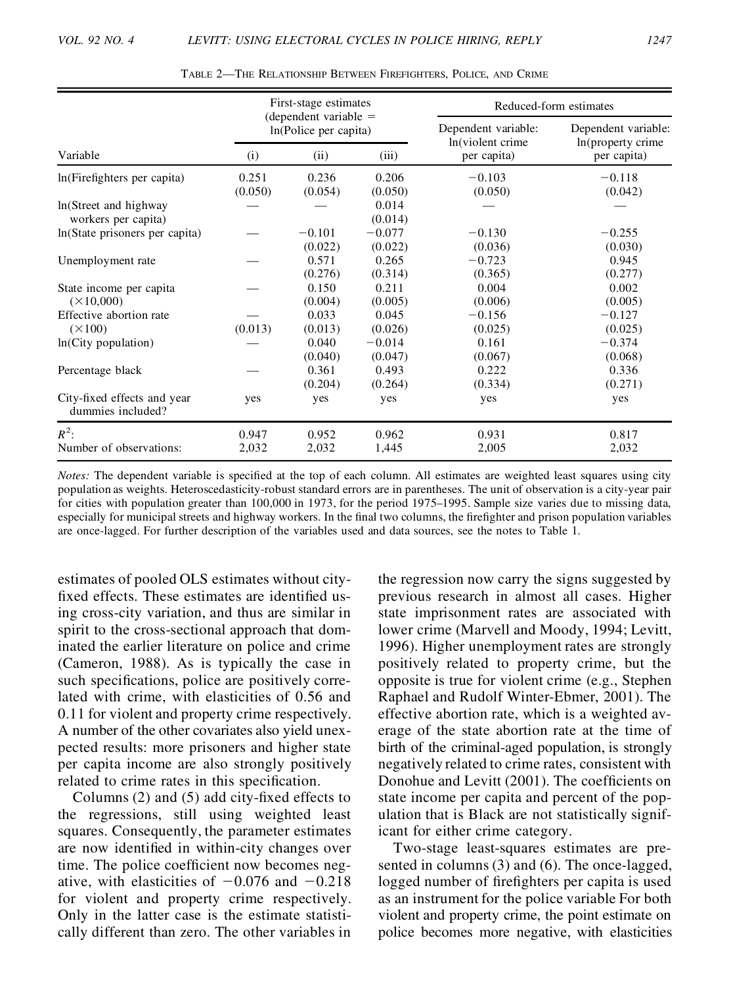|                                                  |                  | First-stage estimates                            |                     | Reduced-form estimates                   |                                          |  |
|--------------------------------------------------|------------------|--------------------------------------------------|---------------------|------------------------------------------|------------------------------------------|--|
|                                                  |                  | (dependent variable $=$<br>In(Police per capita) |                     | Dependent variable:<br>In(violent crime) | Dependent variable:<br>In(property crime |  |
| Variable                                         | (i)              | (iii)<br>(ii)                                    |                     | per capita)                              | per capita)                              |  |
| ln(Firefighters per capita)                      | 0.251<br>(0.050) | 0.236<br>(0.054)                                 | 0.206<br>(0.050)    | $-0.103$<br>(0.050)                      | $-0.118$<br>(0.042)                      |  |
| ln(Street and highway<br>workers per capita)     |                  |                                                  | 0.014<br>(0.014)    |                                          |                                          |  |
| In (State prisoners per capita)                  |                  | $-0.101$<br>(0.022)                              | $-0.077$<br>(0.022) | $-0.130$<br>(0.036)                      | $-0.255$<br>(0.030)                      |  |
| Unemployment rate                                |                  | 0.571<br>(0.276)                                 | 0.265<br>(0.314)    | $-0.723$<br>(0.365)                      | 0.945<br>(0.277)                         |  |
| State income per capita<br>$(\times 10,000)$     |                  | 0.150<br>(0.004)                                 | 0.211<br>(0.005)    | 0.004<br>(0.006)                         | 0.002<br>(0.005)                         |  |
| Effective abortion rate<br>$(\times 100)$        | (0.013)          | 0.033<br>(0.013)                                 | 0.045<br>(0.026)    | $-0.156$<br>(0.025)                      | $-0.127$<br>(0.025)                      |  |
| $ln(City$ population)                            |                  | 0.040<br>(0.040)                                 | $-0.014$<br>(0.047) | 0.161<br>(0.067)                         | $-0.374$<br>(0.068)                      |  |
| Percentage black                                 |                  | 0.361<br>(0.204)                                 | 0.493<br>(0.264)    | 0.222<br>(0.334)                         | 0.336<br>(0.271)                         |  |
| City-fixed effects and year<br>dummies included? | yes              | yes                                              | yes                 | yes                                      | yes                                      |  |
| $R^2$ :<br>Number of observations:               | 0.947<br>2,032   | 0.952<br>2,032                                   | 0.962<br>1,445      | 0.931<br>2,005                           | 0.817<br>2,032                           |  |

TABLE 2—THE RELATIONSHIP BETWEEN FIREFIGHTERS, POLICE, AND CRIME

*Notes:* The dependent variable is specified at the top of each column. All estimates are weighted least squares using city population as weights. Heteroscedasticity-robust standard errors are in parentheses. The unit of observation is a city-year pair for cities with population greater than 100,000 in 1973, for the period 1975–1995. Sample size varies due to missing data, especially for municipal streets and highway workers. In the final two columns, the firefighter and prison population variables are once-lagged. For further description of the variables used and data sources, see the notes to Table 1.

estimates of pooled OLS estimates without city fixed effects. These estimates are identified using cross-city variation, and thus are similar in spirit to the cross-sectional approach that dominated the earlier literature on police and crime (Cameron, 1988). As is typically the case in such specifications, police are positively correlated with crime, with elasticities of 0.56 and 0.11 for violent and property crime respectively. A number of the other covariates also yield unexpected results: more prisoners and higher state per capita income are also strongly positively related to crime rates in this specification.

Columns  $(2)$  and  $(5)$  add city-fixed effects to the regressions, still using weighted least squares. Consequently, the parameter estimates are now identified in within-city changes over time. The police coefficient now becomes negative, with elasticities of  $-0.076$  and  $-0.218$ for violent and property crime respectively. Only in the latter case is the estimate statistically different than zero. The other variables in

the regression now carry the signs suggested by previous research in almost all cases. Higher state imprisonment rates are associated with lower crime (Marvell and Moody, 1994; Levitt, 1996). Higher unemployment rates are strongly positively related to property crime, but the opposite is true for violent crime (e.g., Stephen Raphael and Rudolf Winter-Ebmer, 2001). The effective abortion rate, which is a weighted average of the state abortion rate at the time of birth of the criminal-aged population, is strongly negatively related to crime rates, consistent with Donohue and Levitt (2001). The coefficients on state income per capita and percent of the population that is Black are not statistically significant for either crime category.

Two-stage least-squares estimates are presented in columns (3) and (6). The once-lagged, logged number of firefighters per capita is used as an instrument for the police variable For both violent and property crime, the point estimate on police becomes more negative, with elasticities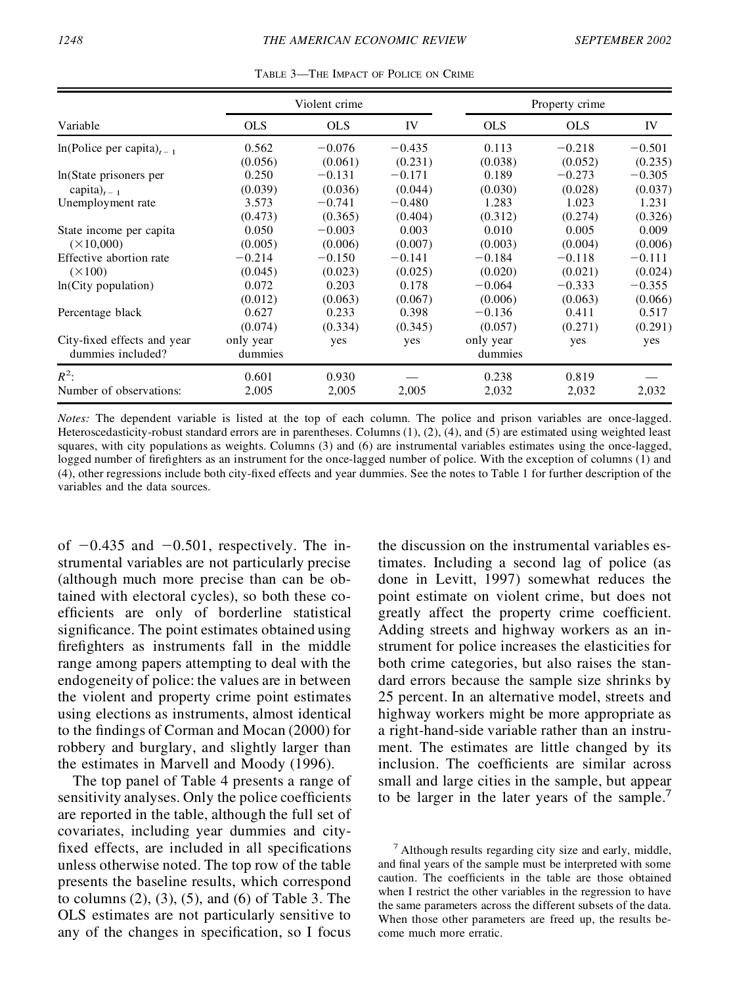|                                     |            | Violent crime |          |            | Property crime |          |  |  |
|-------------------------------------|------------|---------------|----------|------------|----------------|----------|--|--|
| Variable                            | <b>OLS</b> | <b>OLS</b>    | IV       | <b>OLS</b> | <b>OLS</b>     | IV       |  |  |
| $ln(Police per capita)_{t=1}$       | 0.562      | $-0.076$      | $-0.435$ | 0.113      | $-0.218$       | $-0.501$ |  |  |
|                                     | (0.056)    | (0.061)       | (0.231)  | (0.038)    | (0.052)        | (0.235)  |  |  |
| In (State prisoners per             | 0.250      | $-0.131$      | $-0.171$ | 0.189      | $-0.273$       | $-0.305$ |  |  |
| capita) <sub><math>t-1</math></sub> | (0.039)    | (0.036)       | (0.044)  | (0.030)    | (0.028)        | (0.037)  |  |  |
| Unemployment rate                   | 3.573      | $-0.741$      | $-0.480$ | 1.283      | 1.023          | 1.231    |  |  |
|                                     | (0.473)    | (0.365)       | (0.404)  | (0.312)    | (0.274)        | (0.326)  |  |  |
| State income per capita             | 0.050      | $-0.003$      | 0.003    | 0.010      | 0.005          | 0.009    |  |  |
| $(\times 10,000)$                   | (0.005)    | (0.006)       | (0.007)  | (0.003)    | (0.004)        | (0.006)  |  |  |
| Effective abortion rate             | $-0.214$   | $-0.150$      | $-0.141$ | $-0.184$   | $-0.118$       | $-0.111$ |  |  |
| $(\times 100)$                      | (0.045)    | (0.023)       | (0.025)  | (0.020)    | (0.021)        | (0.024)  |  |  |
| ln(City population)                 | 0.072      | 0.203         | 0.178    | $-0.064$   | $-0.333$       | $-0.355$ |  |  |
|                                     | (0.012)    | (0.063)       | (0.067)  | (0.006)    | (0.063)        | (0.066)  |  |  |
| Percentage black                    | 0.627      | 0.233         | 0.398    | $-0.136$   | 0.411          | 0.517    |  |  |
|                                     | (0.074)    | (0.334)       | (0.345)  | (0.057)    | (0.271)        | (0.291)  |  |  |
| City-fixed effects and year         | only year  | yes           | yes      | only year  | yes            | yes      |  |  |
| dummies included?                   | dummies    |               |          | dummies    |                |          |  |  |
| $R^2$ :                             | 0.601      | 0.930         |          | 0.238      | 0.819          |          |  |  |
| Number of observations:             | 2.005      | 2,005         | 2.005    | 2,032      | 2,032          | 2,032    |  |  |

TABLE 3—THE IMPACT OF POLICE ON CRIME

*Notes:* The dependent variable is listed at the top of each column. The police and prison variables are once-lagged. Heteroscedasticity-robust standard errors are in parentheses. Columns (1), (2), (4), and (5) are estimated using weighted least squares, with city populations as weights. Columns (3) and (6) are instrumental variables estimates using the once-lagged, logged number of firefighters as an instrument for the once-lagged number of police. With the exception of columns (1) and (4), other regressions include both city-fixed effects and year dummies. See the notes to Table 1 for further description of the variables and the data sources.

of  $-0.435$  and  $-0.501$ , respectively. The instrumental variables are not particularly precise (although much more precise than can be obtained with electoral cycles), so both these coefficients are only of borderline statistical significance. The point estimates obtained using firefighters as instruments fall in the middle range among papers attempting to deal with the endogeneity of police: the values are in between the violent and property crime point estimates using elections as instruments, almost identical to the findings of Corman and Mocan (2000) for robbery and burglary, and slightly larger than the estimates in Marvell and Moody (1996).

The top panel of Table 4 presents a range of sensitivity analyses. Only the police coefficients are reported in the table, although the full set of covariates, including year dummies and city fixed effects, are included in all specifications unless otherwise noted. The top row of the table presents the baseline results, which correspond to columns (2), (3), (5), and (6) of Table 3. The OLS estimates are not particularly sensitive to any of the changes in specification, so I focus

the discussion on the instrumental variables estimates. Including a second lag of police (as done in Levitt, 1997) somewhat reduces the point estimate on violent crime, but does not greatly affect the property crime coefficient. Adding streets and highway workers as an instrument for police increases the elasticities for both crime categories, but also raises the standard errors because the sample size shrinks by 25 percent. In an alternative model, streets and highway workers might be more appropriate as a right-hand-side variable rather than an instrument. The estimates are little changed by its inclusion. The coefficients are similar across small and large cities in the sample, but appear to be larger in the later years of the sample.<sup>7</sup>

 $<sup>7</sup>$  Although results regarding city size and early, middle,</sup> and final years of the sample must be interpreted with some caution. The coefficients in the table are those obtained when I restrict the other variables in the regression to have the same parameters across the different subsets of the data. When those other parameters are freed up, the results be come much more erratic.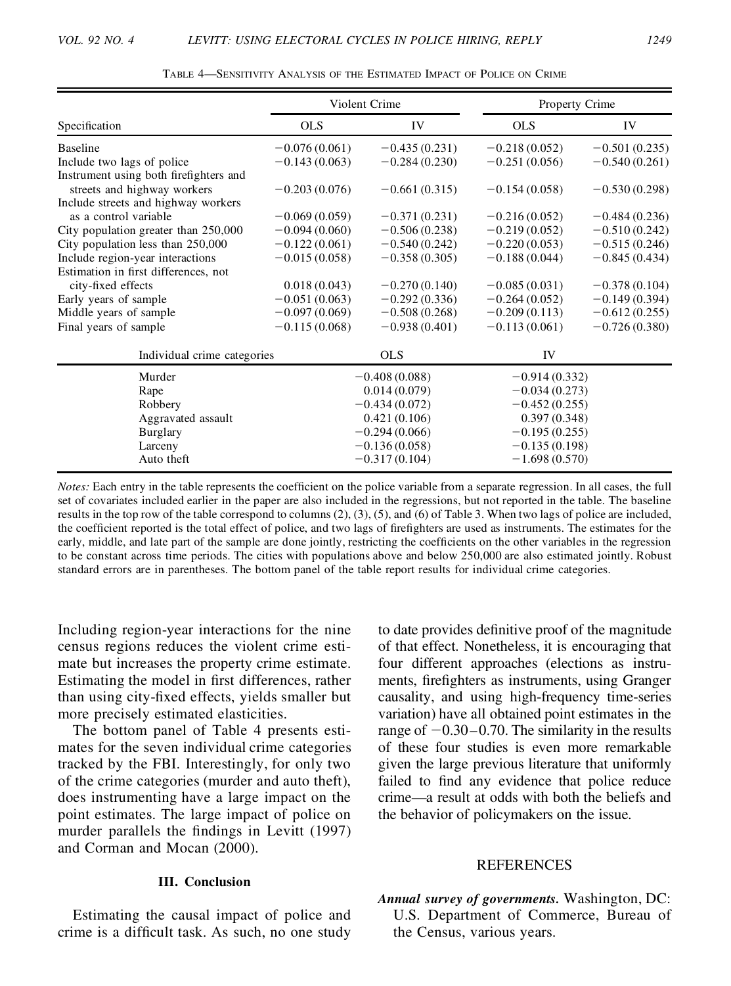|                                        |                 | Violent Crime   |                 | Property Crime  |  |
|----------------------------------------|-----------------|-----------------|-----------------|-----------------|--|
| Specification                          | OLS             | IV              | <b>OLS</b>      | IV              |  |
| <b>Baseline</b>                        | $-0.076(0.061)$ | $-0.435(0.231)$ | $-0.218(0.052)$ | $-0.501(0.235)$ |  |
| Include two lags of police             | $-0.143(0.063)$ | $-0.284(0.230)$ | $-0.251(0.056)$ | $-0.540(0.261)$ |  |
| Instrument using both firefighters and |                 |                 |                 |                 |  |
| streets and highway workers            | $-0.203(0.076)$ | $-0.661(0.315)$ | $-0.154(0.058)$ | $-0.530(0.298)$ |  |
| Include streets and highway workers    |                 |                 |                 |                 |  |
| as a control variable                  | $-0.069(0.059)$ | $-0.371(0.231)$ | $-0.216(0.052)$ | $-0.484(0.236)$ |  |
| City population greater than 250,000   | $-0.094(0.060)$ | $-0.506(0.238)$ | $-0.219(0.052)$ | $-0.510(0.242)$ |  |
| City population less than 250,000      | $-0.122(0.061)$ | $-0.540(0.242)$ | $-0.220(0.053)$ | $-0.515(0.246)$ |  |
| Include region-year interactions       | $-0.015(0.058)$ | $-0.358(0.305)$ | $-0.188(0.044)$ | $-0.845(0.434)$ |  |
| Estimation in first differences, not   |                 |                 |                 |                 |  |
| city-fixed effects                     | 0.018(0.043)    | $-0.270(0.140)$ | $-0.085(0.031)$ | $-0.378(0.104)$ |  |
| Early years of sample                  | $-0.051(0.063)$ | $-0.292(0.336)$ | $-0.264(0.052)$ | $-0.149(0.394)$ |  |
| Middle years of sample                 | $-0.097(0.069)$ | $-0.508(0.268)$ | $-0.209(0.113)$ | $-0.612(0.255)$ |  |
| Final years of sample                  | $-0.115(0.068)$ | $-0.938(0.401)$ | $-0.113(0.061)$ | $-0.726(0.380)$ |  |
| Individual crime categories            | <b>OLS</b>      |                 | IV              |                 |  |
| Murder                                 |                 | $-0.408(0.088)$ |                 | $-0.914(0.332)$ |  |
| Rape                                   |                 | 0.014(0.079)    |                 | $-0.034(0.273)$ |  |
| Robbery                                | $-0.434(0.072)$ |                 | $-0.452(0.255)$ |                 |  |
| Aggravated assault                     | 0.421(0.106)    |                 | 0.397(0.348)    |                 |  |
| <b>Burglary</b>                        |                 | $-0.294(0.066)$ |                 | $-0.195(0.255)$ |  |
| Larceny                                | $-0.136(0.058)$ |                 | $-0.135(0.198)$ |                 |  |
| Auto theft                             | $-0.317(0.104)$ |                 | $-1.698(0.570)$ |                 |  |

TABLE 4—SENSITIVITY ANALYSIS OF THE ESTIMATED IMPACT OF POLICE ON CRIME

*Notes:* Each entry in the table represents the coefficient on the police variable from a separate regression. In all cases, the full set of covariates included earlier in the paper are also included in the regressions, but not reported in the table. The baseline results in the top row of the table correspond to columns  $(2)$ ,  $(3)$ ,  $(5)$ , and  $(6)$  of Table 3. When two lags of police are included, the coefficient reported is the total effect of police, and two lags of firefighters are used as instruments. The estimates for the early, middle, and late part of the sample are done jointly, restricting the coefficients on the other variables in the regression to be constant across time periods. The cities with populations above and below 250,000 are also estimated jointly. Robust standard errors are in parentheses. The bottom panel of the table report results for individual crime categories.

Including region-year interactions for the nine census regions reduces the violent crime estimate but increases the property crime estimate. Estimating the model in first differences, rather than using city-fixed effects, yields smaller but more precisely estimated elasticities.

The bottom panel of Table 4 presents estimates for the seven individual crime categories tracked by the FBI. Interestingly, for only two of the crime categories (murder and auto theft), does instrumenting have a large impact on the point estimates. The large impact of police on murder parallels the findings in Levitt (1997) and Corman and Mocan (2000).

### **III. Conclusion**

Estimating the causal impact of police and crime is a difficult task. As such, no one study to date provides definitive proof of the magnitude of that effect. Nonetheless, it is encouraging that four different approaches (elections as instruments, firefighters as instruments, using Granger causality, and using high-frequency time-series variation) have all obtained point estimates in the range of  $-0.30-0.70$ . The similarity in the results of these four studies is even more remarkable given the large previous literature that uniformly failed to find any evidence that police reduce crime—a result at odds with both the beliefs and the behavior of policymakers on the issue.

#### **REFERENCES**

*Annual survey of governments.* Washington, DC: U.S. Department of Commerce, Bureau of the Census, various years.